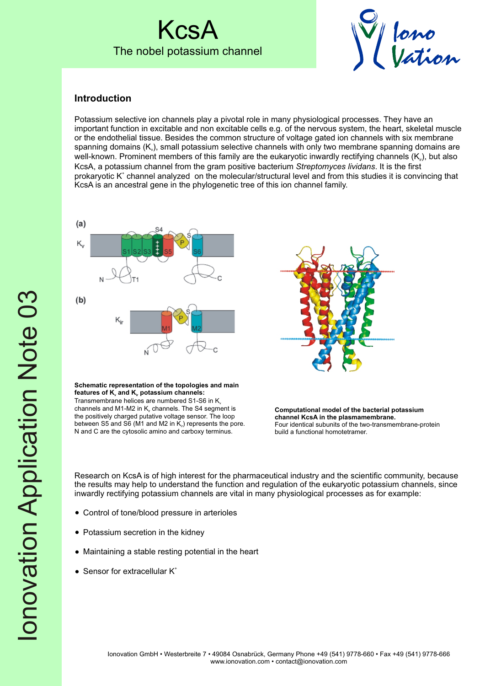## KcsA The nobel potassium channel



### **Introduction**

Potassium selective ion channels play a pivotal role in many physiological processes. They have an important function in excitable and non excitable cells e.g. of the nervous system, the heart, skeletal muscle or the endothelial tissue. Besides the common structure of voltage gated ion channels with six membrane spanning domains  $(K<sub>v</sub>)$ , small potassium selective channels with only two membrane spanning domains are well-known. Prominent members of this family are the eukaryotic inwardly rectifying channels (K<sub>ii</sub>), but also KcsA, a potassium channel from the gram positive bacterium *Streptomyces lividans*. It is the first prokaryotic K<sup>+</sup> channel analyzed on the molecular/structural level and from this studies it is convincing that KcsA is an ancestral gene in the phylogenetic tree of this ion channel family.





**Schematic representation of the topologies and main**  features of  $K_{v}$  and  $K_{u}$  potassium channels: Transmembrane helices are numbered S1-S6 in K channels and M1-M2 in  $K_{ir}$  channels. The S4 segment is the positively charged putative voltage sensor. The loop between S5 and S6 (M1 and M2 in  $K<sub>i</sub>$ ) represents the pore. N and C are the cytosolic amino and carboxy terminus.

**Computational model of the bacterial potassium channel KcsA in the plasmamembrane.** Four identical subunits of the two-transmembrane-protein build a functional homotetramer.

Research on KcsA is of high interest for the pharmaceutical industry and the scientific community, because the results may help to understand the function and regulation of the eukaryotic potassium channels, since inwardly rectifying potassium channels are vital in many physiological processes as for example:

- Control of tone/blood pressure in arterioles
- Potassium secretion in the kidney
- Maintaining a stable resting potential in the heart
- $\bullet$  Sensor for extracellular  $K^*$